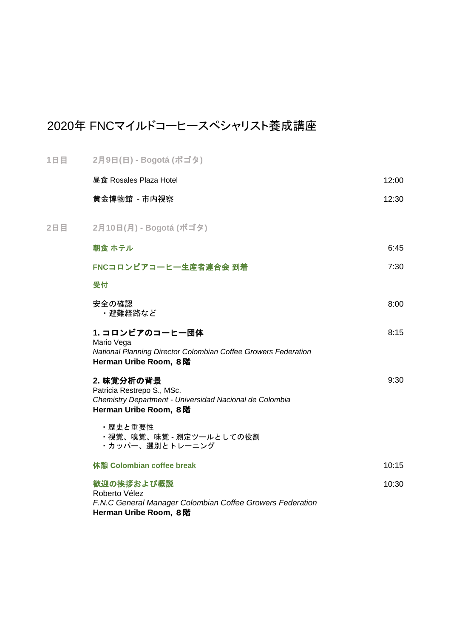## 2020年 FNCマイルドコーヒースペシャリスト養成講座

| 1日目 | 2月9日(日) - Bogotá (ボゴタ)                                                                                                       |       |
|-----|------------------------------------------------------------------------------------------------------------------------------|-------|
|     | 昼食 Rosales Plaza Hotel                                                                                                       | 12:00 |
|     | 黄金博物館 - 市内視察                                                                                                                 | 12:30 |
| 2日目 | 2月10日(月) - Bogotá (ボゴタ)                                                                                                      |       |
|     | 朝食 ホテル                                                                                                                       | 6:45  |
|     | FNCコロンビアコーヒー生産者連合会 到着                                                                                                        | 7:30  |
|     | 受付                                                                                                                           |       |
|     | 安全の確認<br>・避難経路など                                                                                                             | 8:00  |
|     | 1. コロンビアのコーヒー団体<br>Mario Vega<br>National Planning Director Colombian Coffee Growers Federation<br>Herman Uribe Room, 8階     | 8:15  |
|     | 2. 味覚分析の背景<br>Patricia Restrepo S., MSc.<br>Chemistry Department - Universidad Nacional de Colombia<br>Herman Uribe Room, 8階 | 9:30  |
|     | ・歴史と重要性<br>・視覚、嗅覚、味覚 - 測定ツールとしての役割<br>・カッパー、選別とトレーニング                                                                        |       |
|     | 休憩 Colombian coffee break                                                                                                    | 10:15 |
|     | 歓迎の挨拶および概説<br>Roberto Vélez<br>F.N.C General Manager Colombian Coffee Growers Federation<br>Herman Uribe Room, 8階            | 10:30 |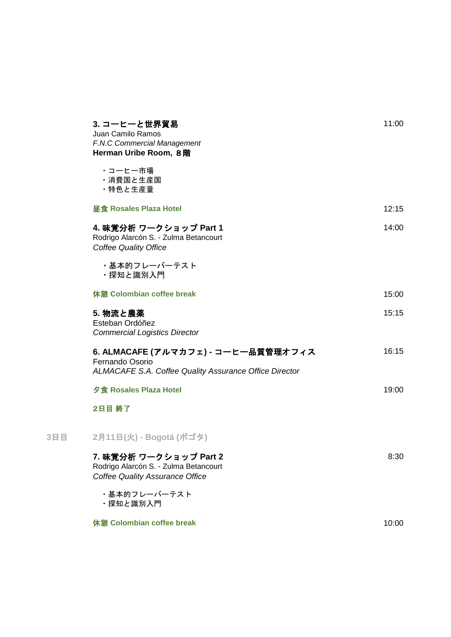| 3. コーヒーと世界貿易<br>Juan Camilo Ramos<br>F.N.C Commercial Management<br>Herman Uribe Room, 8階                               | 11:00 |
|-------------------------------------------------------------------------------------------------------------------------|-------|
| ・コーヒー市場<br>・消費国と生産国<br>・特色と生産量                                                                                          |       |
| <b>昼食 Rosales Plaza Hotel</b>                                                                                           | 12:15 |
| 4. 味覚分析 ワークショップ Part 1<br>Rodrigo Alarcón S. - Zulma Betancourt<br><b>Coffee Quality Office</b>                         | 14:00 |
| ・基本的フレーバーテスト<br>・探知と識別入門                                                                                                |       |
| 休憩 Colombian coffee break                                                                                               | 15:00 |
| 5. 物流と農薬<br>Esteban Ordóñez<br><b>Commercial Logistics Director</b>                                                     | 15:15 |
| 6. ALMACAFE (アルマカフェ) - コーヒー品質管理オフィス<br>Fernando Osorio<br><b>ALMACAFE S.A. Coffee Quality Assurance Office Director</b> | 16:15 |
| 夕食 Rosales Plaza Hotel                                                                                                  | 19:00 |
| 2日目 終了                                                                                                                  |       |
| 2月11日(火) - Bogotá (ボゴタ)                                                                                                 |       |
| 7. 味覚分析 ワークショップ Part 2<br>Rodrigo Alarcón S. - Zulma Betancourt<br><b>Coffee Quality Assurance Office</b>               | 8:30  |
| ・基本的フレーバーテスト<br>・探知と識別入門                                                                                                |       |
| 休憩 Colombian coffee break                                                                                               | 10:00 |
|                                                                                                                         |       |

**3**日目 **2**月**11**日**(**火**) - Bogotá (**ボゴタ**)**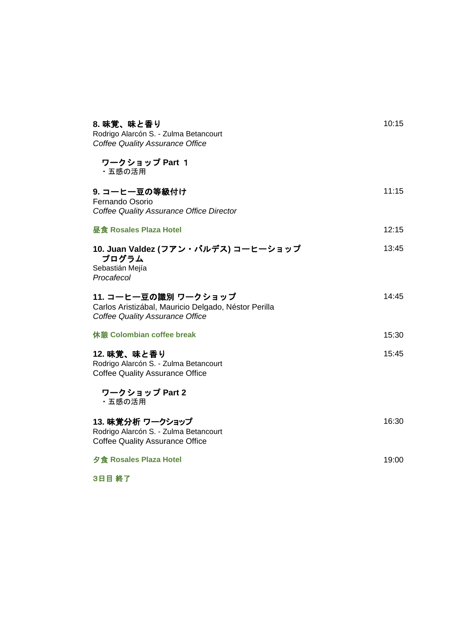| 8. 味覚、味と香り<br>Rodrigo Alarcón S. - Zulma Betancourt<br><b>Coffee Quality Assurance Office</b>                          | 10:15 |
|------------------------------------------------------------------------------------------------------------------------|-------|
| ワークショップ Part 1<br>・五感の活用                                                                                               |       |
| 9. コーヒー豆の等級付け<br>Fernando Osorio<br>Coffee Quality Assurance Office Director                                           | 11:15 |
| 昼食 Rosales Plaza Hotel                                                                                                 | 12:15 |
| 10. Juan Valdez (フアン・バルデス) コーヒーショップ<br>プログラム<br>Sebastián Mejía<br>Procafecol                                          | 13:45 |
| 11. コーヒー豆の識別 ワークショップ<br>Carlos Aristizábal, Mauricio Delgado, Néstor Perilla<br><b>Coffee Quality Assurance Office</b> | 14:45 |
| 休憩 Colombian coffee break                                                                                              | 15:30 |
| 12. 味覚、味と香り<br>Rodrigo Alarcón S. - Zulma Betancourt<br><b>Coffee Quality Assurance Office</b>                         | 15:45 |
| ワークショップ Part 2<br>・五感の活用                                                                                               |       |
| 13. 味覚分析 ワークショップ<br>Rodrigo Alarcón S. - Zulma Betancourt<br><b>Coffee Quality Assurance Office</b>                    | 16:30 |
| 夕食 Rosales Plaza Hotel                                                                                                 | 19:00 |

3日目 終了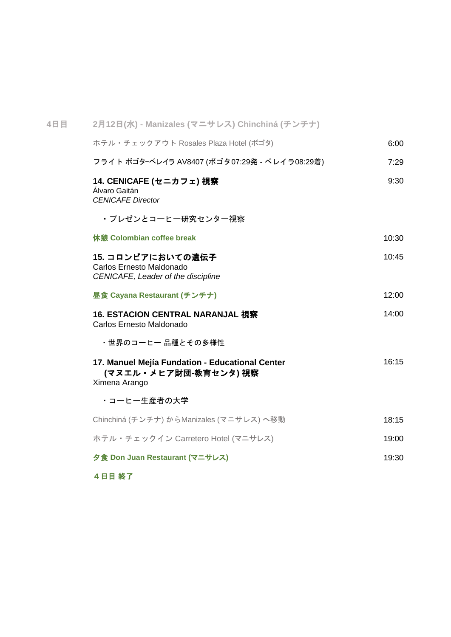| 4日目 | 2月12日(水) - Manizales (マニサレス) Chinchiná (チンチナ)                                             |       |
|-----|-------------------------------------------------------------------------------------------|-------|
|     | ホテル・チェックアウト Rosales Plaza Hotel (ボゴタ)                                                     | 6:00  |
|     | フライト ボゴターペレイラ AV8407 (ボゴタ07:29発 - ペレイラ08:29着)                                             | 7:29  |
|     | 14. CENICAFE (セニカフェ) 視察<br>Álvaro Gaitán<br><b>CENICAFE Director</b>                      | 9:30  |
|     | ・プレゼンとコーヒー研究センター視察                                                                        |       |
|     | 休憩 Colombian coffee break                                                                 | 10:30 |
|     | 15. コロンビアにおいての遺伝子<br>Carlos Ernesto Maldonado<br>CENICAFE, Leader of the discipline       | 10:45 |
|     | 昼食 Cayana Restaurant (チンチナ)                                                               | 12:00 |
|     | 16. ESTACION CENTRAL NARANJAL 視察<br>Carlos Ernesto Maldonado                              | 14:00 |
|     | ・世界のコーヒー 品種とその多様性                                                                         |       |
|     | 17. Manuel Mejía Fundation - Educational Center<br>(マヌエル・メヒア財団-教育センタ) 視察<br>Ximena Arango | 16:15 |
|     | ・コーヒー生産者の大学                                                                               |       |
|     | Chinchiná (チンチナ) からManizales (マニサレス) へ移動                                                  | 18:15 |
|     | ホテル・チェックイン Carretero Hotel (マニサレス)                                                        | 19:00 |
|     | 夕食 Don Juan Restaurant (マニサレス)                                                            | 19:30 |
|     |                                                                                           |       |

4日目 終了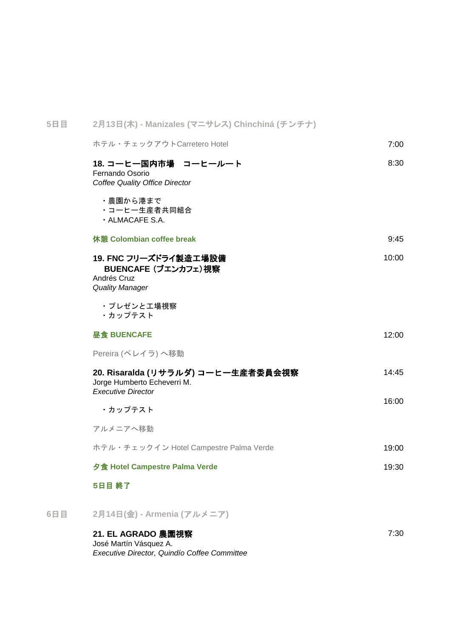| 5日目 | 2月13日(木) - Manizales (マニサレス) Chinchiná (チンチナ)                                                  |       |
|-----|------------------------------------------------------------------------------------------------|-------|
|     | ホテル・チェックアウトCarretero Hotel                                                                     | 7:00  |
|     | 18. コーヒー国内市場 コーヒールート<br>Fernando Osorio<br>Coffee Quality Office Director                      | 8:30  |
|     | ・農園から港まで<br>・コーヒー生産者共同組合<br>· ALMACAFE S.A.                                                    |       |
|     | 休憩 Colombian coffee break                                                                      | 9:45  |
|     | 19. FNC フリーズドライ製造工場設備<br>BUENCAFE (ブエンカフェ)視察<br>Andrés Cruz<br><b>Quality Manager</b>          | 10:00 |
|     | ・プレゼンと工場視察<br>・カップテスト                                                                          |       |
|     | 昼食 BUENCAFE                                                                                    | 12:00 |
|     | Pereira (ペレイラ)へ移動                                                                              |       |
|     | 20. Risaralda (リサラルダ) コーヒー生産者委員会視察<br>Jorge Humberto Echeverri M.<br><b>Executive Director</b> | 14:45 |
|     | ・カップテスト                                                                                        | 16:00 |
|     | アルメニアへ移動                                                                                       |       |
|     | ホテル・チェックイン Hotel Campestre Palma Verde                                                         | 19:00 |
|     | 夕食 Hotel Campestre Palma Verde                                                                 | 19:30 |
|     | 5日目 終了                                                                                         |       |
| 6日目 | 2月14日(金) - Armenia (アルメニア)                                                                     |       |
|     | 21. EL AGRADO 農園視察<br>José Martín Vásquez A.                                                   | 7:30  |

José Martín Vásquez A. *Executive Director, Quindío Coffee Committee*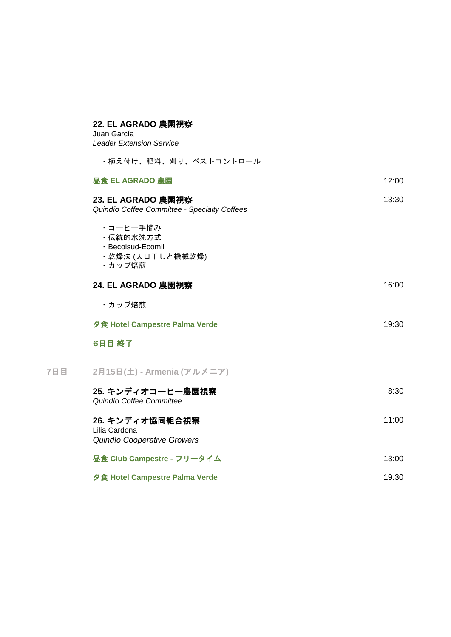| 22. EL AGRADO 農園視察<br>Juan García<br><b>Leader Extension Service</b>     |       |
|--------------------------------------------------------------------------|-------|
| ・植え付け、肥料、刈り、ペストコントロール                                                    |       |
| 昼食 EL AGRADO 農園                                                          | 12:00 |
| 23. EL AGRADO 農園視察<br>Quindío Coffee Committee - Specialty Coffees       | 13:30 |
| ・コーヒー手摘み<br>· 伝統的水洗方式<br>· Becolsud-Ecomil<br>・乾燥法 (天日干しと機械乾燥)<br>・カップ焙煎 |       |
| 24. EL AGRADO 農園視察                                                       | 16:00 |
| ・カップ焙煎                                                                   |       |
| 夕食 Hotel Campestre Palma Verde                                           | 19:30 |
| 6日目 終了                                                                   |       |
| 2月15日(土) - Armenia (アルメニア)                                               |       |
| 25. キンディオコーヒー農園視察<br>Quindío Coffee Committee                            | 8:30  |
| 26. キンディオ協同組合視察<br>Lilia Cardona<br>Quindío Cooperative Growers          | 11:00 |
| 昼食 Club Campestre - フリータイム                                               | 13:00 |
| 夕食 Hotel Campestre Palma Verde                                           | 19:30 |

**7**日目 **2**月**15**日**(**土**) - Armenia (**アルメニア**)**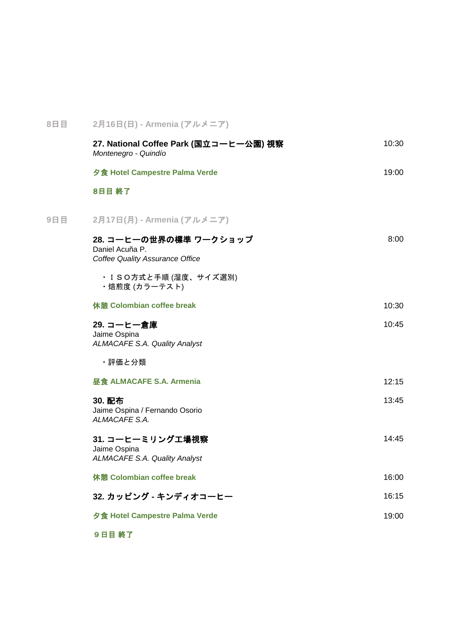| 8日目 | 2月16日(日) - Armenia (アルメニア)                                                          |       |
|-----|-------------------------------------------------------------------------------------|-------|
|     | 27. National Coffee Park (国立コーヒー公園) 視察<br>Montenegro - Quindío                      | 10:30 |
|     | 夕食 Hotel Campestre Palma Verde                                                      | 19:00 |
|     | 8日目 終了                                                                              |       |
| 9日目 | 2月17日(月) - Armenia (アルメニア)                                                          |       |
|     | 28. コーヒーの世界の標準 ワークショップ<br>Daniel Acuña P.<br><b>Coffee Quality Assurance Office</b> | 8:00  |
|     | ・ISO方式と手順 (湿度、サイズ選別)<br>・焙煎度 (カラーテスト)                                               |       |
|     | 休憩 Colombian coffee break                                                           | 10:30 |
|     | 29. コーヒー倉庫<br>Jaime Ospina<br><b>ALMACAFE S.A. Quality Analyst</b>                  | 10:45 |
|     | ・評価と分類                                                                              |       |
|     | 昼食 ALMACAFE S.A. Armenia                                                            | 12:15 |
|     | 30. 配布<br>Jaime Ospina / Fernando Osorio<br>ALMACAFE S.A.                           | 13:45 |
|     | 31. コーヒーミリング工場視察<br>Jaime Ospina<br><b>ALMACAFE S.A. Quality Analyst</b>            | 14:45 |
|     | 休憩 Colombian coffee break                                                           | 16:00 |
|     | 32. カッピング - キンディオコーヒー                                                               | 16:15 |
|     | 夕食 Hotel Campestre Palma Verde                                                      | 19:00 |
|     |                                                                                     |       |

9日目 終了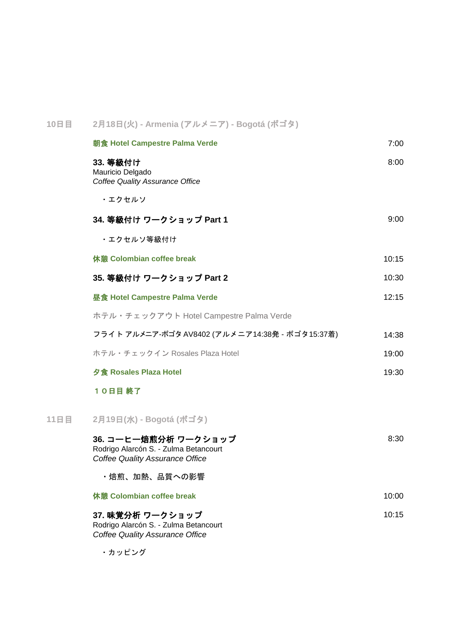| 10日目 | 2月18日(火) - Armenia (アルメニア) - Bogotá (ボゴタ)                                                               |       |
|------|---------------------------------------------------------------------------------------------------------|-------|
|      | 朝食 Hotel Campestre Palma Verde                                                                          | 7:00  |
|      | 33. 等級付け<br>Mauricio Delgado<br><b>Coffee Quality Assurance Office</b>                                  | 8:00  |
|      | ・エクセルソ                                                                                                  |       |
|      | 34. 等級付け ワークショップ Part 1                                                                                 | 9:00  |
|      | ・エクセルソ等級付け                                                                                              |       |
|      | 休憩 Colombian coffee break                                                                               | 10:15 |
|      | 35. 等級付け ワークショップ Part 2                                                                                 | 10:30 |
|      | <b>昼食 Hotel Campestre Palma Verde</b>                                                                   | 12:15 |
|      | ホテル・チェックアウト Hotel Campestre Palma Verde                                                                 |       |
|      | フライト アルメニア-ボゴタ AV8402 (アルメニア14:38発 - ボゴタ15:37着)                                                         | 14:38 |
|      | ホテル・チェックイン Rosales Plaza Hotel                                                                          | 19:00 |
|      | 夕食 Rosales Plaza Hotel                                                                                  | 19:30 |
|      | 10日目 終了                                                                                                 |       |
| 11日目 | 2月19日(水) - Bogotá (ボゴタ)                                                                                 |       |
|      | 36. コーヒー焙煎分析 ワークショップ<br>Rodrigo Alarcón S. - Zulma Betancourt<br><b>Coffee Quality Assurance Office</b> | 8:30  |
|      | ・焙煎、加熱、品質への影響                                                                                           |       |
|      | 休憩 Colombian coffee break                                                                               | 10:00 |
|      | 37. 味覚分析 ワークショップ<br>Rodrigo Alarcón S. - Zulma Betancourt                                               | 10:15 |

*Coffee Quality Assurance Office*

・カッピング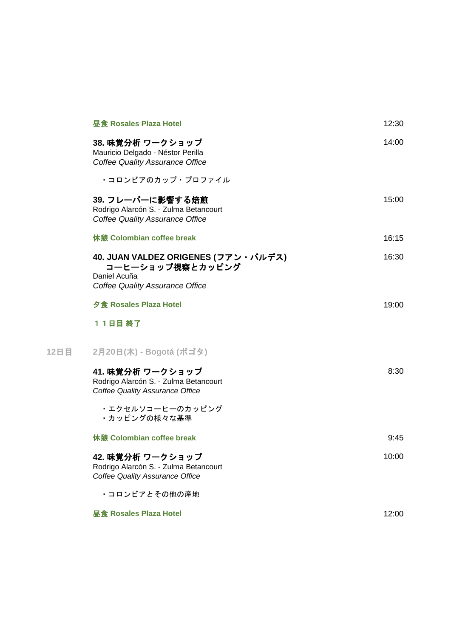| <b>昼食 Rosales Plaza Hotel</b>                                                                       | 12:30 |
|-----------------------------------------------------------------------------------------------------|-------|
| 38. 味覚分析 ワークショップ<br>Mauricio Delgado - Néstor Perilla<br><b>Coffee Quality Assurance Office</b>     | 14:00 |
| ・コロンビアのカップ・プロファイル                                                                                   |       |
| 39. フレーバーに影響する焙煎<br>Rodrigo Alarcón S. - Zulma Betancourt<br><b>Coffee Quality Assurance Office</b> | 15:00 |
| 休憩 Colombian coffee break                                                                           | 16:15 |
| 40. JUAN VALDEZ ORIGENES (フアン・バルデス)<br>コーヒーショップ視察とカッピング<br>Daniel Acuña                             | 16:30 |
| <b>Coffee Quality Assurance Office</b>                                                              |       |
| 夕食 Rosales Plaza Hotel                                                                              | 19:00 |
| 11日目 終了                                                                                             |       |
| 2月20日(木) - Bogotá (ボゴタ)                                                                             |       |
| 41. 味覚分析 ワークショップ<br>Rodrigo Alarcón S. - Zulma Betancourt<br><b>Coffee Quality Assurance Office</b> | 8:30  |
| ・エクセルソコーヒーのカッピング<br>・カッピングの様々な基準                                                                    |       |
| 休憩 Colombian coffee break                                                                           | 9:45  |
| 42. 味覚分析 ワークショップ<br>Rodrigo Alarcón S. - Zulma Betancourt<br><b>Coffee Quality Assurance Office</b> | 10:00 |
| ・コロンビアとその他の産地                                                                                       |       |
| <b>昼食 Rosales Plaza Hotel</b>                                                                       | 12:00 |

**12**日目 **2**月**20**日**(**木**) - Bogotá (**ボゴタ**)**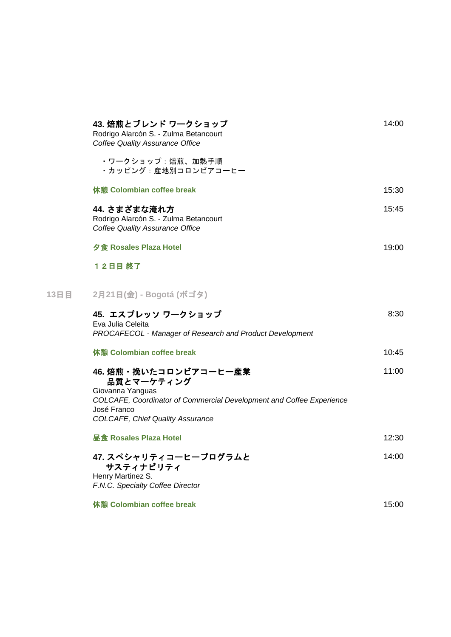|      | 43. 焙煎とブレンド ワークショップ<br>Rodrigo Alarcón S. - Zulma Betancourt<br>Coffee Quality Assurance Office                                                                                           | 14:00 |
|------|-------------------------------------------------------------------------------------------------------------------------------------------------------------------------------------------|-------|
|      | ・ワークショップ:焙煎、加熱手順<br>・カッピング:産地別コロンビアコーヒー                                                                                                                                                   |       |
|      | 休憩 Colombian coffee break                                                                                                                                                                 | 15:30 |
|      | 44. さまざまな淹れ方<br>Rodrigo Alarcón S. - Zulma Betancourt<br><b>Coffee Quality Assurance Office</b>                                                                                           | 15:45 |
|      | 夕食 Rosales Plaza Hotel                                                                                                                                                                    | 19:00 |
|      | 12日目終了                                                                                                                                                                                    |       |
| 13日目 | 2月21日(金) - Bogotá (ボゴタ)                                                                                                                                                                   |       |
|      | 45. エスプレッソ ワークショップ<br>Eva Julia Celeita<br>PROCAFECOL - Manager of Research and Product Development                                                                                       | 8:30  |
|      | 休憩 Colombian coffee break                                                                                                                                                                 | 10:45 |
|      | 46. 焙煎・挽いたコロンビアコーヒー産業<br>品質とマーケティング<br>Giovanna Yanguas<br>COLCAFE, Coordinator of Commercial Development and Coffee Experience<br>José Franco<br><b>COLCAFE, Chief Quality Assurance</b> | 11:00 |
|      | <b>昼食 Rosales Plaza Hotel</b>                                                                                                                                                             | 12:30 |
|      | 47. スペシャリティコーヒープログラムと<br>サスティナビリティ<br>Henry Martinez S.<br>F.N.C. Specialty Coffee Director                                                                                               | 14:00 |
|      | 休憩 Colombian coffee break                                                                                                                                                                 | 15:00 |